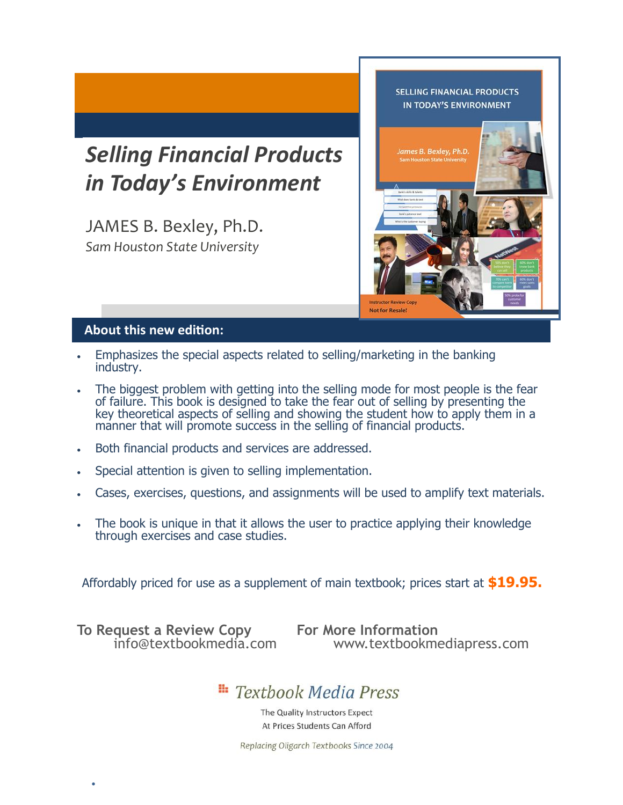## *Selling Financial Products in Today's Environment*

JAMES B. Bexley, Ph.D. *Sam Houston State University*



#### **About this new edition:**

- Emphasizes the special aspects related to selling/marketing in the banking industry.
- The biggest problem with getting into the selling mode for most people is the fear of failure. This book is designed to take the fear out of selling by presenting the key theoretical aspects of selling and showing the student how to apply them in a manner that will promote success in the selling of financial products.
- Both financial products and services are addressed.
- Special attention is given to selling implementation.
- Cases, exercises, questions, and assignments will be used to amplify text materials.
- The book is unique in that it allows the user to practice applying their knowledge through exercises and case studies.

Affordably priced for use as a supplement of main textbook; prices start at **\$19.95.**

**To Request a Review Copy For More Information**

•

www.textbookmediapress.com

## **Extrack Media Press**

The Quality Instructors Expect At Prices Students Can Afford

Replacing Oligarch Textbooks Since 2004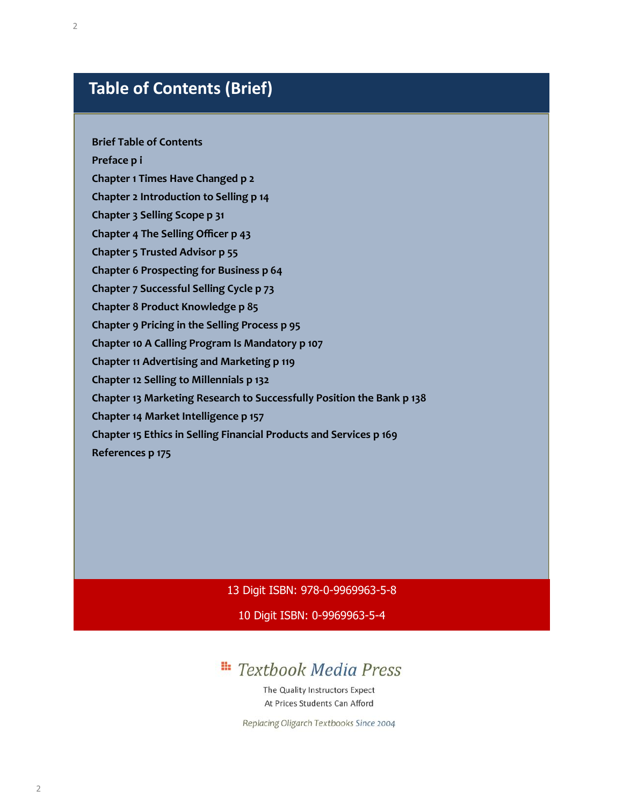### **Table of Contents (Brief)**

#### **Brief Table of Contents**

**Preface p i** 

**Chapter 1 Times Have Changed p 2** 

**Chapter 2 Introduction to Selling p 14** 

**Chapter 3 Selling Scope p 31** 

**Chapter 4 The Selling Officer p 43** 

**Chapter 5 Trusted Advisor p 55** 

**Chapter 6 Prospecting for Business p 64** 

**Chapter 7 Successful Selling Cycle p 73** 

**Chapter 8 Product Knowledge p 85** 

**Chapter 9 Pricing in the Selling Process p 95** 

**Chapter 10 A Calling Program Is Mandatory p 107** 

**Chapter 11 Advertising and Marketing p 119** 

**Chapter 12 Selling to Millennials p 132** 

**Chapter 13 Marketing Research to Successfully Position the Bank p 138** 

**Chapter 14 Market Intelligence p 157** 

**Chapter 15 Ethics in Selling Financial Products and Services p 169** 

**References p 175** 

13 Digit ISBN: 978-0-9969963-5-8

10 Digit ISBN: 0-9969963-5-4

#### H: **Textbook Media Press**

The Quality Instructors Expect At Prices Students Can Afford

Replacing Oligarch Textbooks Since 2004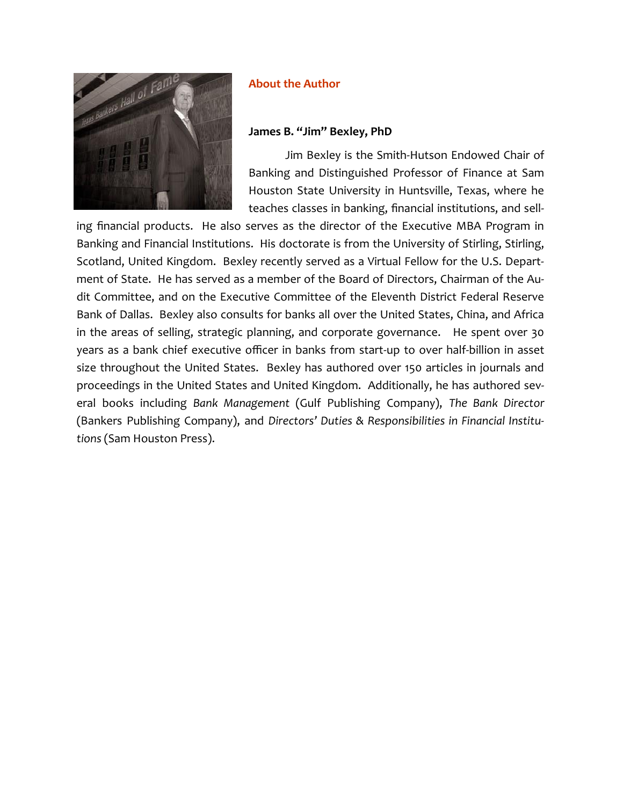

#### **About the Author**

#### **James B. "Jim" Bexley, PhD**

Jim Bexley is the Smith-Hutson Endowed Chair of Banking and Distinguished Professor of Finance at Sam Houston State University in Huntsville, Texas, where he teaches classes in banking, financial institutions, and sell-

ing financial products. He also serves as the director of the Executive MBA Program in Banking and Financial Institutions. His doctorate is from the University of Stirling, Stirling, Scotland, United Kingdom. Bexley recently served as a Virtual Fellow for the U.S. Department of State. He has served as a member of the Board of Directors, Chairman of the Audit Committee, and on the Executive Committee of the Eleventh District Federal Reserve Bank of Dallas. Bexley also consults for banks all over the United States, China, and Africa in the areas of selling, strategic planning, and corporate governance. He spent over 30 years as a bank chief executive officer in banks from start-up to over half-billion in asset size throughout the United States. Bexley has authored over 150 articles in journals and proceedings in the United States and United Kingdom. Additionally, he has authored several books including *Bank Management* (Gulf Publishing Company), *The Bank Director* (Bankers Publishing Company), and *Directors' Duties & Responsibilities in Financial Institutions* (Sam Houston Press).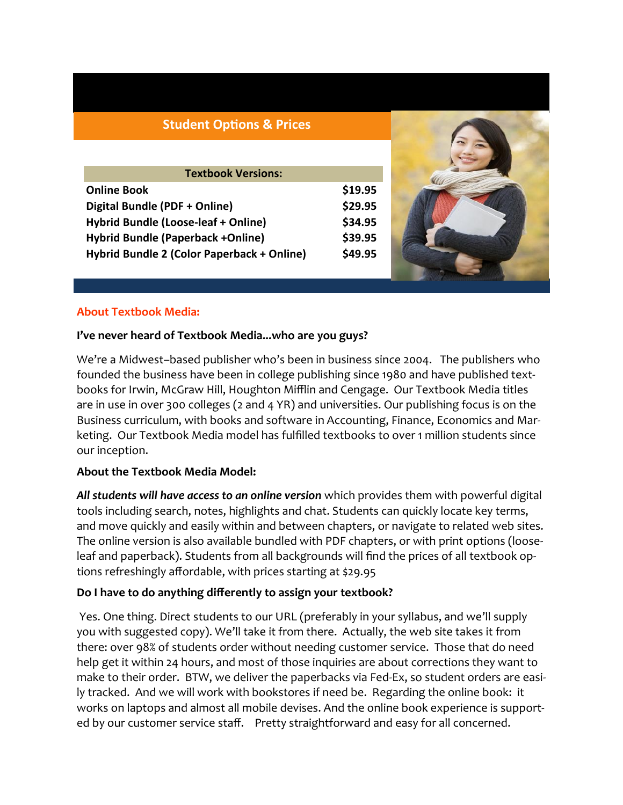#### **Student Options & Prices**

| <b>Textbook Versions:</b>                  |         |  |  |  |  |
|--------------------------------------------|---------|--|--|--|--|
| <b>Online Book</b>                         | \$19.95 |  |  |  |  |
| Digital Bundle (PDF + Online)              | \$29.95 |  |  |  |  |
| Hybrid Bundle (Loose-leaf + Online)        | \$34.95 |  |  |  |  |
| <b>Hybrid Bundle (Paperback +Online)</b>   | \$39.95 |  |  |  |  |
| Hybrid Bundle 2 (Color Paperback + Online) | \$49.95 |  |  |  |  |



#### **About Textbook Media:**

#### **I've never heard of Textbook Media...who are you guys?**

We're a Midwest–based publisher who's been in business since 2004. The publishers who founded the business have been in college publishing since 1980 and have published textbooks for Irwin, McGraw Hill, Houghton Mifflin and Cengage. Our Textbook Media titles are in use in over 300 colleges (2 and 4 YR) and universities. Our publishing focus is on the Business curriculum, with books and software in Accounting, Finance, Economics and Marketing. Our Textbook Media model has fulfilled textbooks to over 1 million students since our inception.

#### **About the Textbook Media Model:**

*All students will have access to an online version* which provides them with powerful digital tools including search, notes, highlights and chat. Students can quickly locate key terms, and move quickly and easily within and between chapters, or navigate to related web sites. The online version is also available bundled with PDF chapters, or with print options (looseleaf and paperback). Students from all backgrounds will find the prices of all textbook options refreshingly affordable, with prices starting at \$29.95

#### **Do I have to do anything differently to assign your textbook?**

Yes. One thing. Direct students to our URL (preferably in your syllabus, and we'll supply you with suggested copy). We'll take it from there. Actually, the web site takes it from there: over 98% of students order without needing customer service. Those that do need help get it within 24 hours, and most of those inquiries are about corrections they want to make to their order. BTW, we deliver the paperbacks via Fed-Ex, so student orders are easily tracked. And we will work with bookstores if need be. Regarding the online book: it works on laptops and almost all mobile devises. And the online book experience is supported by our customer service staff. Pretty straightforward and easy for all concerned.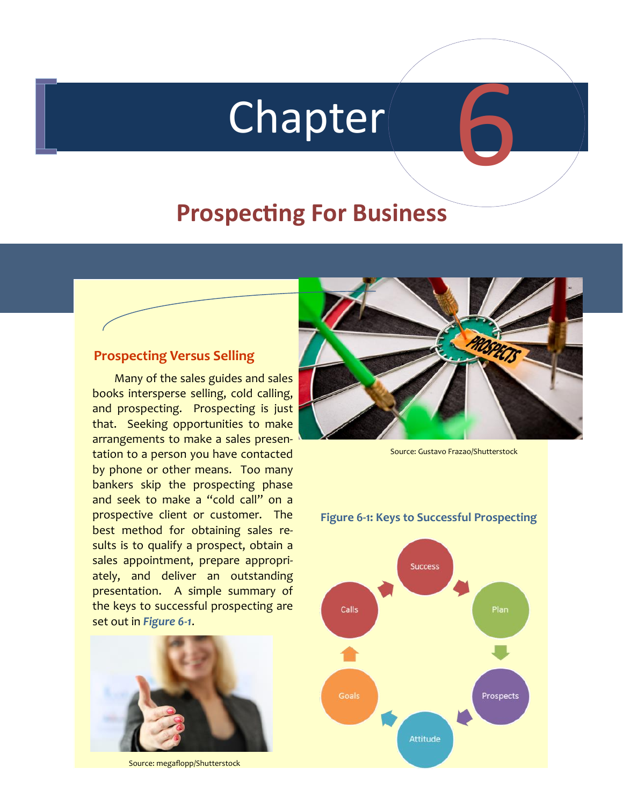# Chapter

# **Prospecting For Business**

#### **Prospecting Versus Selling**

Many of the sales guides and sales books intersperse selling, cold calling, and prospecting. Prospecting is just that. Seeking opportunities to make arrangements to make a sales presentation to a person you have contacted by phone or other means. Too many bankers skip the prospecting phase and seek to make a "cold call" on a prospective client or customer. The best method for obtaining sales results is to qualify a prospect, obtain a sales appointment, prepare appropriately, and deliver an outstanding presentation. A simple summary of the keys to successful prospecting are set out in *Figure 6-1*.



Source: megaflopp/Shutterstock



6

Source: Gustavo Frazao/Shutterstock

#### **Figure 6-1: Keys to Successful Prospecting**

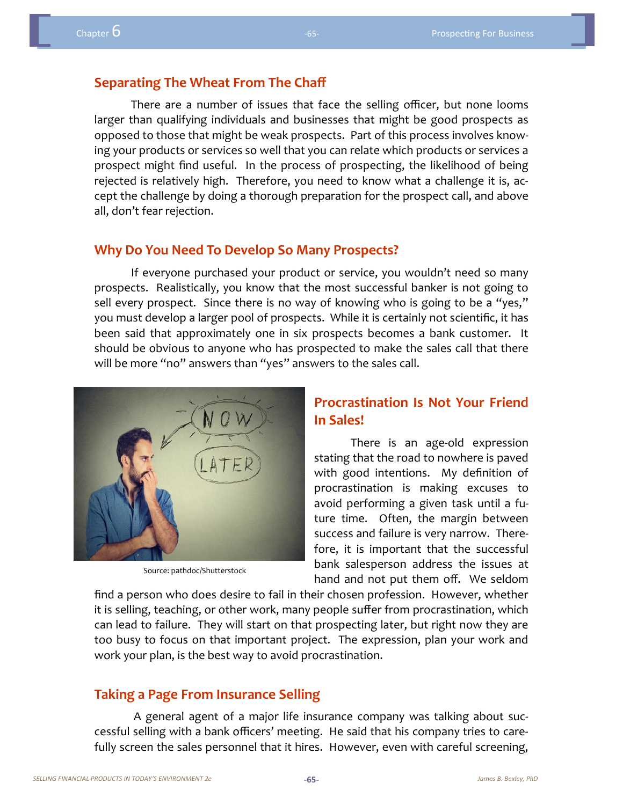#### **Separating The Wheat From The Chaff**

There are a number of issues that face the selling officer, but none looms larger than qualifying individuals and businesses that might be good prospects as opposed to those that might be weak prospects. Part of this process involves knowing your products or services so well that you can relate which products or services a prospect might find useful. In the process of prospecting, the likelihood of being rejected is relatively high. Therefore, you need to know what a challenge it is, accept the challenge by doing a thorough preparation for the prospect call, and above all, don't fear rejection.

#### **Why Do You Need To Develop So Many Prospects?**

If everyone purchased your product or service, you wouldn't need so many prospects. Realistically, you know that the most successful banker is not going to sell every prospect. Since there is no way of knowing who is going to be a "yes," you must develop a larger pool of prospects. While it is certainly not scientific, it has been said that approximately one in six prospects becomes a bank customer. It should be obvious to anyone who has prospected to make the sales call that there will be more "no" answers than "yes" answers to the sales call.



Source: pathdoc/Shutterstock

#### **Procrastination Is Not Your Friend In Sales!**

There is an age-old expression stating that the road to nowhere is paved with good intentions. My definition of procrastination is making excuses to avoid performing a given task until a future time. Often, the margin between success and failure is very narrow. Therefore, it is important that the successful bank salesperson address the issues at hand and not put them off. We seldom

find a person who does desire to fail in their chosen profession. However, whether it is selling, teaching, or other work, many people suffer from procrastination, which can lead to failure. They will start on that prospecting later, but right now they are too busy to focus on that important project. The expression, plan your work and work your plan, is the best way to avoid procrastination.

#### **Taking a Page From Insurance Selling**

A general agent of a major life insurance company was talking about successful selling with a bank officers' meeting. He said that his company tries to carefully screen the sales personnel that it hires. However, even with careful screening,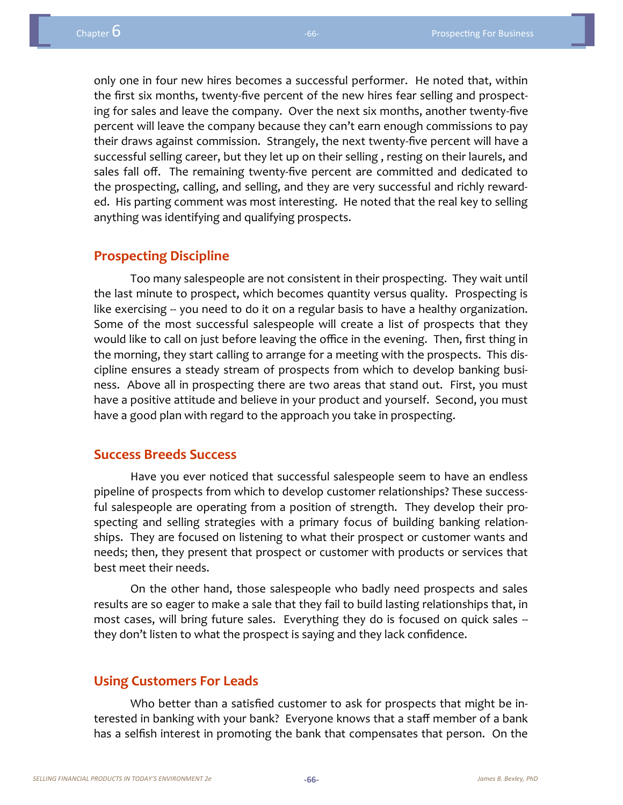only one in four new hires becomes a successful performer. He noted that, within the first six months, twenty-five percent of the new hires fear selling and prospecting for sales and leave the company. Over the next six months, another twenty-five percent will leave the company because they can't earn enough commissions to pay their draws against commission. Strangely, the next twenty-five percent will have a successful selling career, but they let up on their selling , resting on their laurels, and sales fall off. The remaining twenty-five percent are committed and dedicated to the prospecting, calling, and selling, and they are very successful and richly rewarded. His parting comment was most interesting. He noted that the real key to selling anything was identifying and qualifying prospects.

#### **Prospecting Discipline**

Too many salespeople are not consistent in their prospecting. They wait until the last minute to prospect, which becomes quantity versus quality. Prospecting is like exercising -- you need to do it on a regular basis to have a healthy organization. Some of the most successful salespeople will create a list of prospects that they would like to call on just before leaving the office in the evening. Then, first thing in the morning, they start calling to arrange for a meeting with the prospects. This discipline ensures a steady stream of prospects from which to develop banking business. Above all in prospecting there are two areas that stand out. First, you must have a positive attitude and believe in your product and yourself. Second, you must have a good plan with regard to the approach you take in prospecting.

#### **Success Breeds Success**

Have you ever noticed that successful salespeople seem to have an endless pipeline of prospects from which to develop customer relationships? These successful salespeople are operating from a position of strength. They develop their prospecting and selling strategies with a primary focus of building banking relationships. They are focused on listening to what their prospect or customer wants and needs; then, they present that prospect or customer with products or services that best meet their needs.

On the other hand, those salespeople who badly need prospects and sales results are so eager to make a sale that they fail to build lasting relationships that, in most cases, will bring future sales. Everything they do is focused on quick sales -they don't listen to what the prospect is saying and they lack confidence.

#### **Using Customers For Leads**

Who better than a satisfied customer to ask for prospects that might be interested in banking with your bank? Everyone knows that a staff member of a bank has a selfish interest in promoting the bank that compensates that person. On the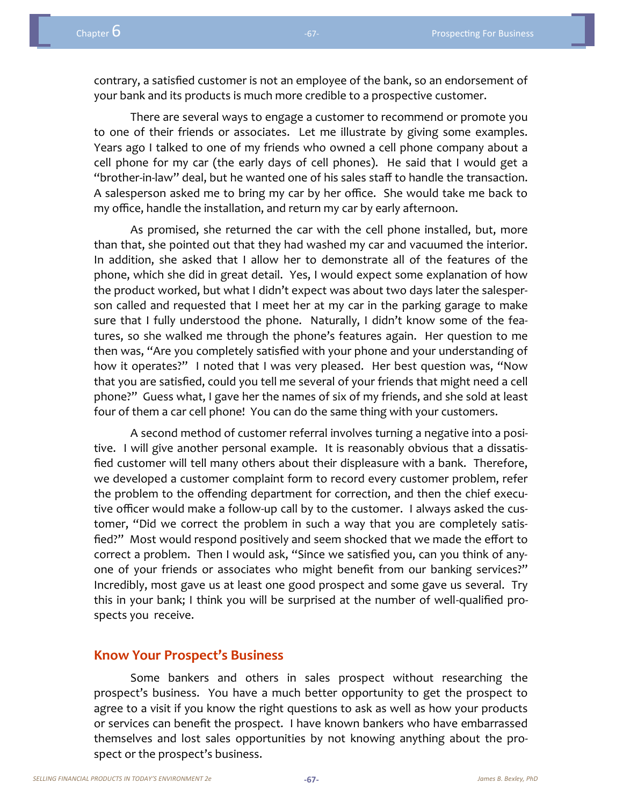contrary, a satisfied customer is not an employee of the bank, so an endorsement of your bank and its products is much more credible to a prospective customer.

There are several ways to engage a customer to recommend or promote you to one of their friends or associates. Let me illustrate by giving some examples. Years ago I talked to one of my friends who owned a cell phone company about a cell phone for my car (the early days of cell phones). He said that I would get a "brother-in-law" deal, but he wanted one of his sales staff to handle the transaction. A salesperson asked me to bring my car by her office. She would take me back to my office, handle the installation, and return my car by early afternoon.

As promised, she returned the car with the cell phone installed, but, more than that, she pointed out that they had washed my car and vacuumed the interior. In addition, she asked that I allow her to demonstrate all of the features of the phone, which she did in great detail. Yes, I would expect some explanation of how the product worked, but what I didn't expect was about two days later the salesperson called and requested that I meet her at my car in the parking garage to make sure that I fully understood the phone. Naturally, I didn't know some of the features, so she walked me through the phone's features again. Her question to me then was, "Are you completely satisfied with your phone and your understanding of how it operates?" I noted that I was very pleased. Her best question was, "Now that you are satisfied, could you tell me several of your friends that might need a cell phone?" Guess what, I gave her the names of six of my friends, and she sold at least four of them a car cell phone! You can do the same thing with your customers.

A second method of customer referral involves turning a negative into a positive. I will give another personal example. It is reasonably obvious that a dissatisfied customer will tell many others about their displeasure with a bank. Therefore, we developed a customer complaint form to record every customer problem, refer the problem to the offending department for correction, and then the chief executive officer would make a follow-up call by to the customer. I always asked the customer, "Did we correct the problem in such a way that you are completely satisfied?" Most would respond positively and seem shocked that we made the effort to correct a problem. Then I would ask, "Since we satisfied you, can you think of anyone of your friends or associates who might benefit from our banking services?" Incredibly, most gave us at least one good prospect and some gave us several. Try this in your bank; I think you will be surprised at the number of well-qualified prospects you receive.

#### **Know Your Prospect's Business**

Some bankers and others in sales prospect without researching the prospect's business. You have a much better opportunity to get the prospect to agree to a visit if you know the right questions to ask as well as how your products or services can benefit the prospect. I have known bankers who have embarrassed themselves and lost sales opportunities by not knowing anything about the prospect or the prospect's business.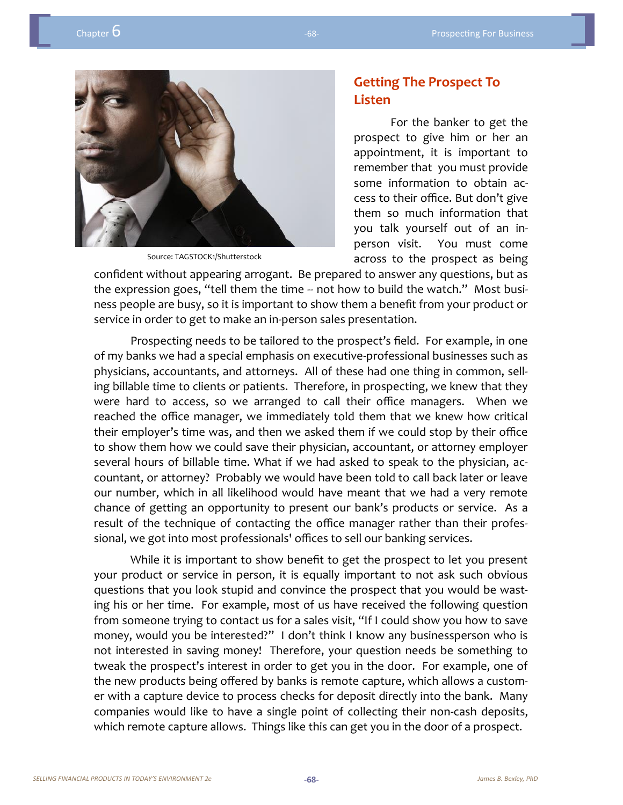

Source: TAGSTOCK1/Shutterstock

#### **Getting The Prospect To Listen**

For the banker to get the prospect to give him or her an appointment, it is important to remember that you must provide some information to obtain access to their office. But don't give them so much information that you talk yourself out of an inperson visit. You must come across to the prospect as being

confident without appearing arrogant. Be prepared to answer any questions, but as the expression goes, "tell them the time -- not how to build the watch." Most business people are busy, so it is important to show them a benefit from your product or service in order to get to make an in-person sales presentation.

Prospecting needs to be tailored to the prospect's field. For example, in one of my banks we had a special emphasis on executive-professional businesses such as physicians, accountants, and attorneys. All of these had one thing in common, selling billable time to clients or patients. Therefore, in prospecting, we knew that they were hard to access, so we arranged to call their office managers. When we reached the office manager, we immediately told them that we knew how critical their employer's time was, and then we asked them if we could stop by their office to show them how we could save their physician, accountant, or attorney employer several hours of billable time. What if we had asked to speak to the physician, accountant, or attorney? Probably we would have been told to call back later or leave our number, which in all likelihood would have meant that we had a very remote chance of getting an opportunity to present our bank's products or service. As a result of the technique of contacting the office manager rather than their professional, we got into most professionals' offices to sell our banking services.

While it is important to show benefit to get the prospect to let you present your product or service in person, it is equally important to not ask such obvious questions that you look stupid and convince the prospect that you would be wasting his or her time. For example, most of us have received the following question from someone trying to contact us for a sales visit, "If I could show you how to save money, would you be interested?" I don't think I know any businessperson who is not interested in saving money! Therefore, your question needs be something to tweak the prospect's interest in order to get you in the door. For example, one of the new products being offered by banks is remote capture, which allows a customer with a capture device to process checks for deposit directly into the bank. Many companies would like to have a single point of collecting their non-cash deposits, which remote capture allows. Things like this can get you in the door of a prospect.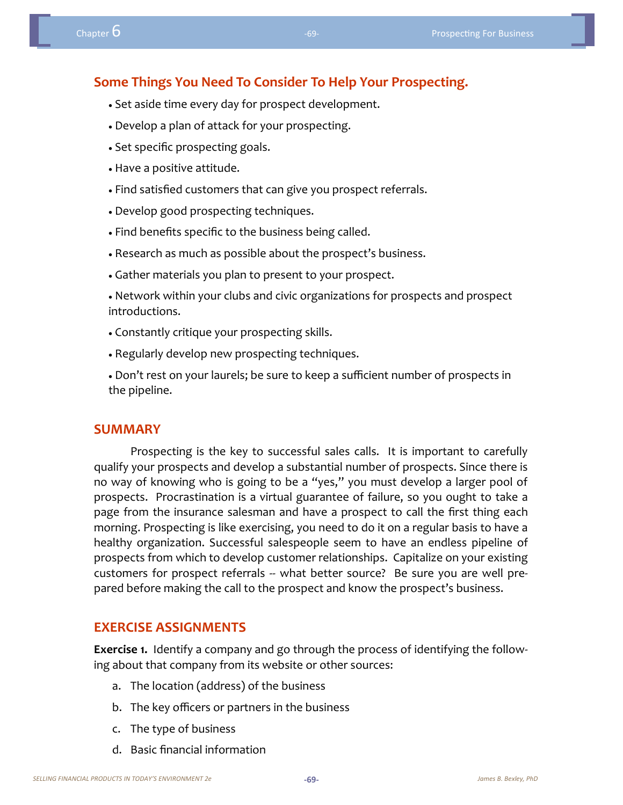#### **Some Things You Need To Consider To Help Your Prospecting.**

- Set aside time every day for prospect development.
- Develop a plan of attack for your prospecting.
- Set specific prospecting goals.
- Have a positive attitude.
- Find satisfied customers that can give you prospect referrals.
- Develop good prospecting techniques.
- Find benefits specific to the business being called.
- Research as much as possible about the prospect's business.
- Gather materials you plan to present to your prospect.
- Network within your clubs and civic organizations for prospects and prospect introductions.
- Constantly critique your prospecting skills.
- Regularly develop new prospecting techniques.
- Don't rest on your laurels; be sure to keep a sufficient number of prospects in the pipeline.

#### **SUMMARY**

Prospecting is the key to successful sales calls. It is important to carefully qualify your prospects and develop a substantial number of prospects. Since there is no way of knowing who is going to be a "yes," you must develop a larger pool of prospects. Procrastination is a virtual guarantee of failure, so you ought to take a page from the insurance salesman and have a prospect to call the first thing each morning. Prospecting is like exercising, you need to do it on a regular basis to have a healthy organization. Successful salespeople seem to have an endless pipeline of prospects from which to develop customer relationships. Capitalize on your existing customers for prospect referrals -- what better source? Be sure you are well prepared before making the call to the prospect and know the prospect's business.

#### **EXERCISE ASSIGNMENTS**

**Exercise 1.** Identify a company and go through the process of identifying the following about that company from its website or other sources:

- a. The location (address) of the business
- b. The key officers or partners in the business
- c. The type of business
- d. Basic financial information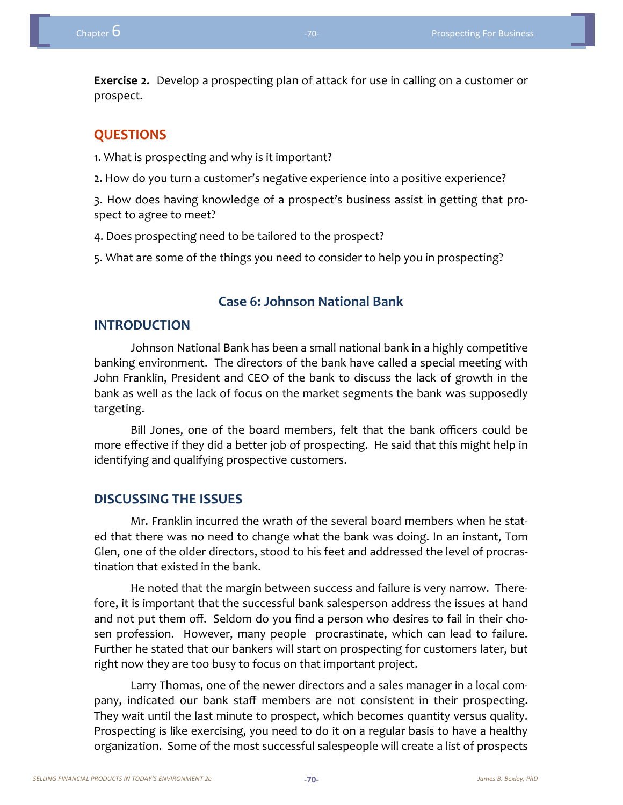**Exercise 2.** Develop a prospecting plan of attack for use in calling on a customer or prospect.

#### **QUESTIONS**

1. What is prospecting and why is it important?

2. How do you turn a customer's negative experience into a positive experience?

3. How does having knowledge of a prospect's business assist in getting that prospect to agree to meet?

4. Does prospecting need to be tailored to the prospect?

5. What are some of the things you need to consider to help you in prospecting?

#### **Case 6: Johnson National Bank**

#### **INTRODUCTION**

Johnson National Bank has been a small national bank in a highly competitive banking environment. The directors of the bank have called a special meeting with John Franklin, President and CEO of the bank to discuss the lack of growth in the bank as well as the lack of focus on the market segments the bank was supposedly targeting.

Bill Jones, one of the board members, felt that the bank officers could be more effective if they did a better job of prospecting. He said that this might help in identifying and qualifying prospective customers.

#### **DISCUSSING THE ISSUES**

Mr. Franklin incurred the wrath of the several board members when he stated that there was no need to change what the bank was doing. In an instant, Tom Glen, one of the older directors, stood to his feet and addressed the level of procrastination that existed in the bank.

He noted that the margin between success and failure is very narrow. Therefore, it is important that the successful bank salesperson address the issues at hand and not put them off. Seldom do you find a person who desires to fail in their chosen profession. However, many people procrastinate, which can lead to failure. Further he stated that our bankers will start on prospecting for customers later, but right now they are too busy to focus on that important project.

Larry Thomas, one of the newer directors and a sales manager in a local company, indicated our bank staff members are not consistent in their prospecting. They wait until the last minute to prospect, which becomes quantity versus quality. Prospecting is like exercising, you need to do it on a regular basis to have a healthy organization. Some of the most successful salespeople will create a list of prospects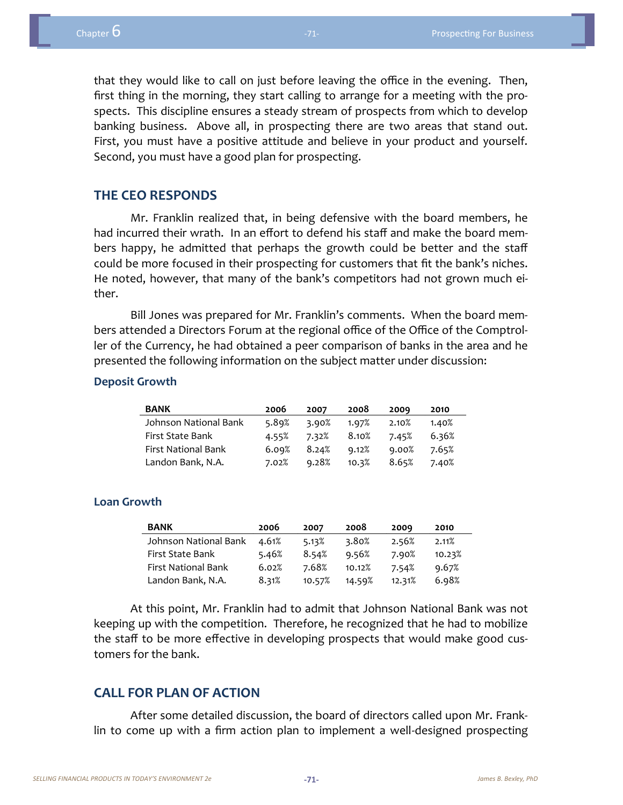that they would like to call on just before leaving the office in the evening. Then, first thing in the morning, they start calling to arrange for a meeting with the prospects. This discipline ensures a steady stream of prospects from which to develop banking business. Above all, in prospecting there are two areas that stand out. First, you must have a positive attitude and believe in your product and yourself. Second, you must have a good plan for prospecting.

#### **THE CEO RESPONDS**

Mr. Franklin realized that, in being defensive with the board members, he had incurred their wrath. In an effort to defend his staff and make the board members happy, he admitted that perhaps the growth could be better and the staff could be more focused in their prospecting for customers that fit the bank's niches. He noted, however, that many of the bank's competitors had not grown much either.

Bill Jones was prepared for Mr. Franklin's comments. When the board members attended a Directors Forum at the regional office of the Office of the Comptroller of the Currency, he had obtained a peer comparison of banks in the area and he presented the following information on the subject matter under discussion:

#### **Deposit Growth**

| <b>BANK</b>           | 2006  | 2007  | 2008  | 2009  | 2010  |
|-----------------------|-------|-------|-------|-------|-------|
| Johnson National Bank | 5.89% | 3.90% | 1.97% | 2.10% | 1.40% |
| First State Bank      | 4.55% | 7.32% | 8.10% | 7.45% | 6.36% |
| First National Bank   | 6.09% | 8.24% | 9.12% | 9.00% | 7.65% |
| Landon Bank, N.A.     | 7.02% | 9.28% | 10.3% | 8.65% | 7.40% |

#### **Loan Growth**

| <b>BANK</b>           | 2006  | 2007   | 2008   | 2009   | 2010   |
|-----------------------|-------|--------|--------|--------|--------|
| Johnson National Bank | 4.61% | 5.13%  | 3.80%  | 2.56%  | 2.11%  |
| First State Bank      | 5.46% | 8.54%  | 9.56%  | 7.90%  | 10.23% |
| First National Bank   | 6.02% | 7.68%  | 10.12% | 7.54%  | 9.67%  |
| Landon Bank, N.A.     | 8.31% | 10.57% | 14.59% | 12.31% | 6.98%  |

At this point, Mr. Franklin had to admit that Johnson National Bank was not keeping up with the competition. Therefore, he recognized that he had to mobilize the staff to be more effective in developing prospects that would make good customers for the bank.

#### **CALL FOR PLAN OF ACTION**

After some detailed discussion, the board of directors called upon Mr. Franklin to come up with a firm action plan to implement a well-designed prospecting